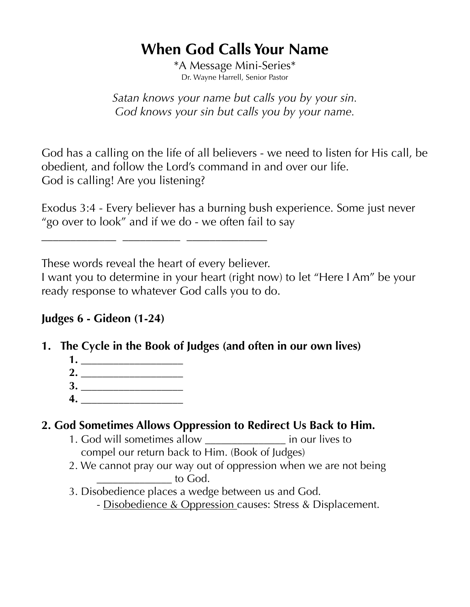# **When God Calls Your Name**

\*A Message Mini-Series\* Dr. Wayne Harrell, Senior Pastor

*Satan knows your name but calls you by your sin. God knows your sin but calls you by your name.*

God has a calling on the life of all believers - we need to listen for His call, be obedient, and follow the Lord's command in and over our life. God is calling! Are you listening?

Exodus 3:4 - Every believer has a burning bush experience. Some just never "go over to look" and if we do - we often fail to say

These words reveal the heart of every believer.

**\_\_\_\_\_\_\_\_\_\_\_\_\_ \_\_\_\_\_\_\_\_\_\_ \_\_\_\_\_\_\_\_\_\_\_\_\_\_**

I want you to determine in your heart (right now) to let "Here I Am" be your ready response to whatever God calls you to do.

#### **Judges 6 - Gideon (1-24)**

- **1. The Cycle in the Book of Judges (and often in our own lives)** 
	- **1. \_\_\_\_\_\_\_\_\_\_\_\_\_\_\_\_\_\_\_**
	- **2. \_\_\_\_\_\_\_\_\_\_\_\_\_\_\_\_\_\_\_ 3. \_\_\_\_\_\_\_\_\_\_\_\_\_\_\_\_\_\_\_**
	- **4. \_\_\_\_\_\_\_\_\_\_\_\_\_\_\_\_\_\_\_**

# **2. God Sometimes Allows Oppression to Redirect Us Back to Him.**

- 1. God will sometimes allow \_\_\_\_\_\_\_\_\_\_\_\_\_\_\_ in our lives to compel our return back to Him. (Book of Judges)
- 2. We cannot pray our way out of oppression when we are not being \_\_\_\_\_\_\_\_\_\_\_\_\_\_ to God.
- 3. Disobedience places a wedge between us and God.
	- Disobedience & Oppression causes: Stress & Displacement.